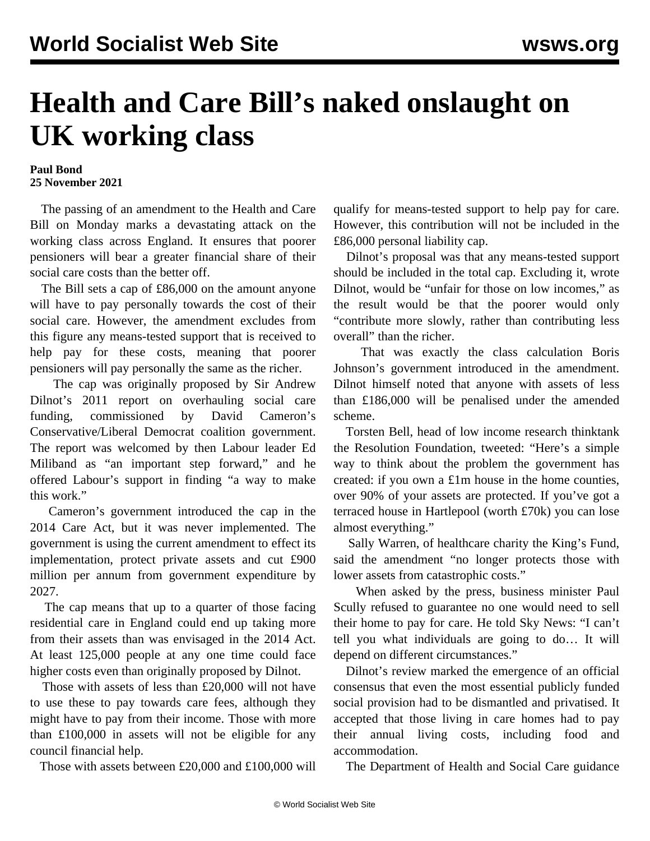## **Health and Care Bill's naked onslaught on UK working class**

## **Paul Bond 25 November 2021**

 The passing of an amendment to the Health and Care Bill on Monday marks a devastating attack on the working class across England. It ensures that poorer pensioners will bear a greater financial share of their social care costs than the better off.

 The Bill sets a cap of £86,000 on the amount anyone will have to pay personally towards the cost of their social care. However, the amendment excludes from this figure any means-tested support that is received to help pay for these costs, meaning that poorer pensioners will pay personally the same as the richer.

 The cap was originally proposed by [Sir Andrew](/en/articles/2011/07/care-j11.html) [Dilnot's 2011 report](/en/articles/2011/07/care-j11.html) on overhauling social care funding, commissioned by David Cameron's Conservative/Liberal Democrat coalition government. The report was welcomed by then Labour leader Ed Miliband as "an important step forward," and he offered Labour's support in finding "a way to make this work."

 Cameron's government introduced the cap in the 2014 Care Act, but it was never implemented. The government is using the current amendment to effect its implementation, protect private assets and cut £900 million per annum from government expenditure by 2027.

 The cap means that up to a quarter of those facing residential care in England could end up taking more from their assets than was envisaged in the 2014 Act. At least 125,000 people at any one time could face higher costs even than originally proposed by Dilnot.

 Those with assets of less than £20,000 will not have to use these to pay towards care fees, although they might have to pay from their income. Those with more than £100,000 in assets will not be eligible for any council financial help.

Those with assets between £20,000 and £100,000 will

qualify for means-tested support to help pay for care. However, this contribution will not be included in the £86,000 personal liability cap.

 Dilnot's proposal was that any means-tested support should be included in the total cap. Excluding it, wrote Dilnot, would be "unfair for those on low incomes," as the result would be that the poorer would only "contribute more slowly, rather than contributing less overall" than the richer.

 That was exactly the class calculation Boris Johnson's government introduced in the amendment. Dilnot himself noted that anyone with assets of less than £186,000 will be penalised under the amended scheme.

 Torsten Bell, head of low income research thinktank the Resolution Foundation, tweeted: "Here's a simple way to think about the problem the government has created: if you own a £1m house in the home counties, over 90% of your assets are protected. If you've got a terraced house in Hartlepool (worth £70k) you can lose almost everything."

 Sally Warren, of healthcare charity the King's Fund, said the amendment "no longer protects those with lower assets from catastrophic costs."

 When asked by the press, business minister Paul Scully refused to guarantee no one would need to sell their home to pay for care. He told Sky News: "I can't tell you what individuals are going to do… It will depend on different circumstances."

 Dilnot's review marked the emergence of an official consensus that even the most essential publicly funded social provision had to be dismantled and privatised. It accepted that those living in care homes had to pay their annual living costs, including food and accommodation.

The Department of Health and Social Care guidance